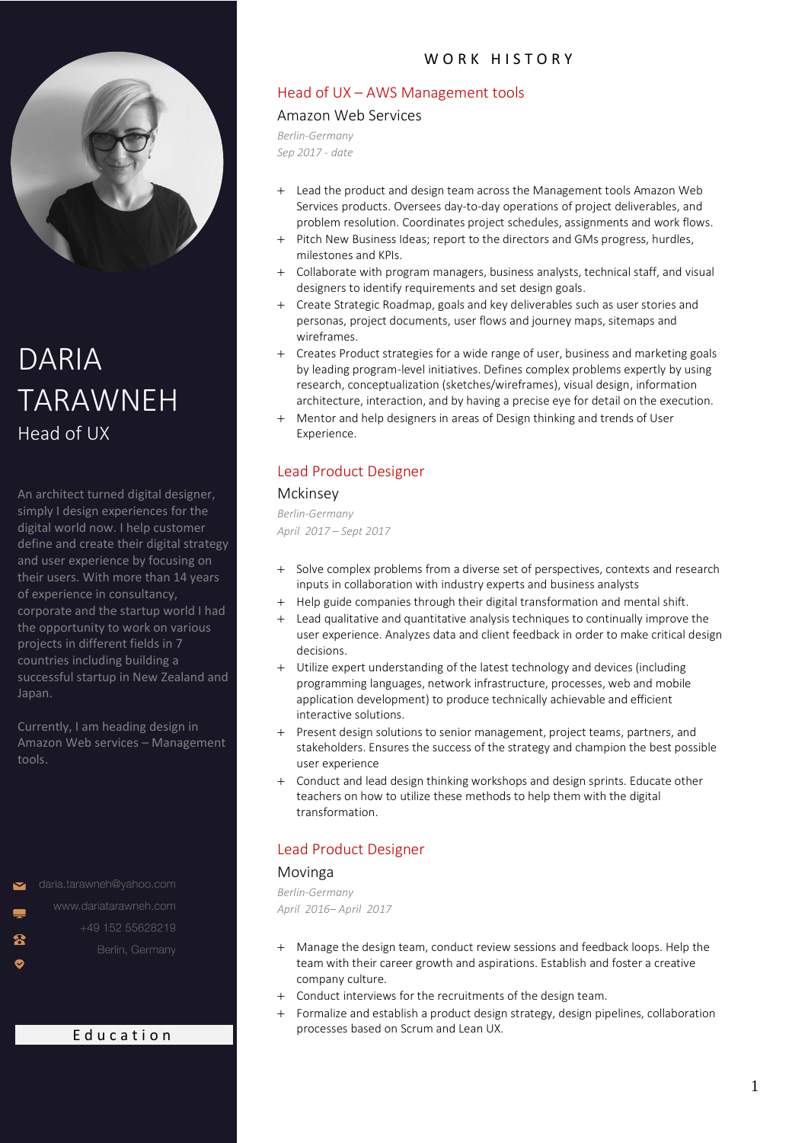# Head of UX – AWS Management tools

#### Amazon Web Services

*Berlin-Germany Sep 2017 - date*

- + Lead the product and design team across the Management tools Amazon Web Services products. Oversees day-to-day operations of project deliverables, and problem resolution. Coordinates project schedules, assignments and work flows.
- + Pitch New Business Ideas; report to the directors and GMs progress, hurdles, milestones and KPIs.
- + Collaborate with program managers, business analysts, technical staff, and visual designers to identify requirements and set design goals.
- + Create Strategic Roadmap, goals and key deliverables such as user stories and personas, project documents, user flows and journey maps, sitemaps and wireframes.
- + Creates Product strategies for a wide range of user, business and marketing goals by leading program-level initiatives. Defines complex problems expertly by using research, conceptualization (sketches/wireframes), visual design, information architecture, interaction, and by having a precise eye for detail on the execution.
- + Mentor and help designers in areas of Design thinking and trends of User Experience.

# Lead Product Designer

#### Mckinsey

*Berlin-Germany April 2017 – Sept 2017*

- + Solve complex problems from a diverse set of perspectives, contexts and research inputs in collaboration with industry experts and business analysts
- + Help guide companies through their digital transformation and mental shift.
- + Lead qualitative and quantitative analysis techniques to continually improve the user experience. Analyzes data and client feedback in order to make critical design decisions.
- + Utilize expert understanding of the latest technology and devices (including programming languages, network infrastructure, processes, web and mobile application development) to produce technically achievable and efficient interactive solutions.
- + Present design solutions to senior management, project teams, partners, and stakeholders. Ensures the success of the strategy and champion the best possible user experience
- + Conduct and lead design thinking workshops and design sprints. Educate other teachers on how to utilize these methods to help them with the digital transformation.

# Lead Product Designer

## Movinga

*Berlin-Germany April 2016– April 2017*

- + Manage the design team, conduct review sessions and feedback loops. Help the team with their career growth and aspirations. Establish and foster a creative company culture.
- + Conduct interviews for the recruitments of the design team.
- + Formalize and establish a product design strategy, design pipelines, collaboration processes based on Scrum and Lean UX.

# DARIA TARAWNEH Head of UX

An architect turned digital designer, simply I design experiences for the digital world now. I help customer define and create their digital strategy and user experience by focusing on their users. With more than 14 years of experience in consultancy, corporate and the startup world I had the opportunity to work on various projects in different fields in 7 countries including building a successful startup in New Zealand and Japan.

Currently, I am heading design in Amazon Web services – Management tools.

daria.tarawneh@yahoo.com  $\overline{\mathbf{z}}$ 

 $\bullet$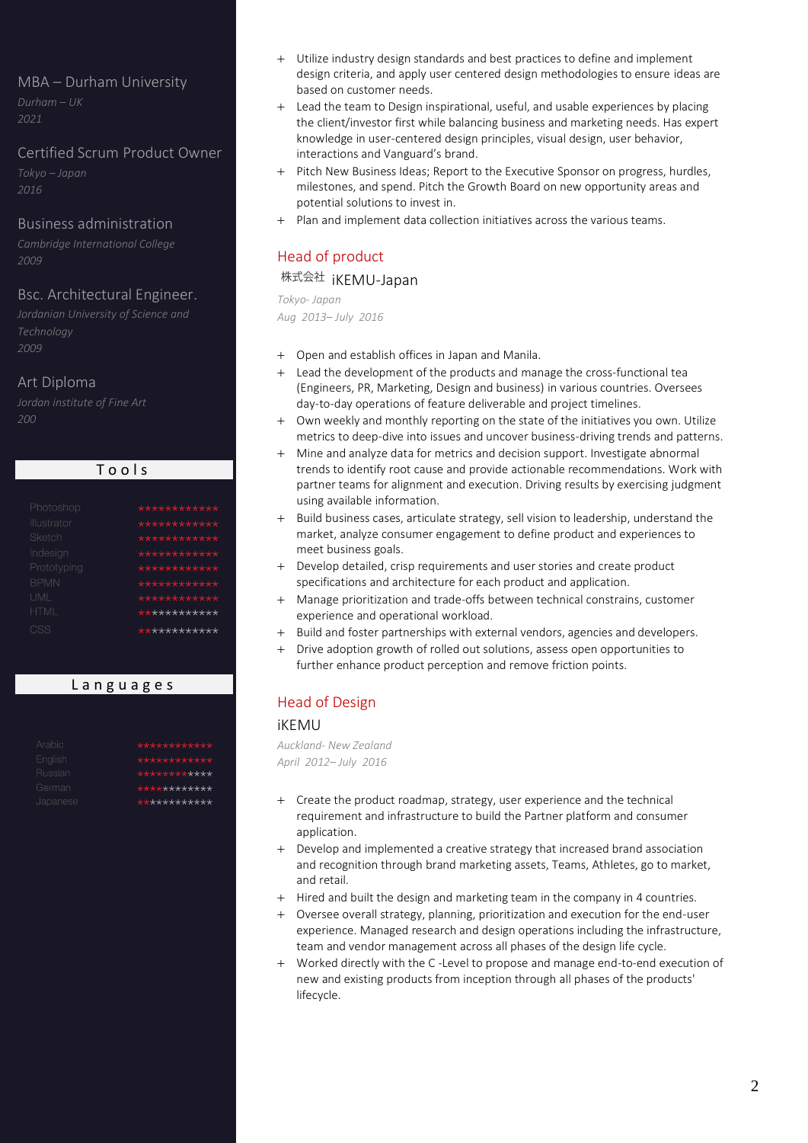## MBA – Durham University

*2021*

## Certified Scrum Product Owner

*Tokyo – Japan 2016*

## Business administration

*Cambridge International College 2009*

## Bsc. Architectural Engineer.

*Technology 2009*

## Art Diploma

*200*

| Photoshop   | ************ |
|-------------|--------------|
| Illustrator | ************ |
| Sketch      | ************ |
| Indesian    | ************ |
| Prototyping | ************ |
| <b>BPMN</b> | ************ |
| UML         | ************ |
| <b>HTML</b> | ************ |
| CSS         | ************ |
|             |              |

T o o l s

# L a n g u a g e s

| Arabic   | ************ |
|----------|--------------|
| English  | ************ |
| Russian  | ************ |
| German   | ************ |
| Japanese | ************ |

- + Utilize industry design standards and best practices to define and implement design criteria, and apply user centered design methodologies to ensure ideas are based on customer needs.
- Lead the team to Design inspirational, useful, and usable experiences by placing the client/investor first while balancing business and marketing needs. Has expert knowledge in user-centered design principles, visual design, user behavior, interactions and Vanguard's brand.
- + Pitch New Business Ideas; Report to the Executive Sponsor on progress, hurdles, milestones, and spend. Pitch the Growth Board on new opportunity areas and potential solutions to invest in.
- + Plan and implement data collection initiatives across the various teams.

# Head of product

# 株式会社 jKEMU-Japan

*Tokyo- Japan*

*Aug 2013– July 2016*

- + Open and establish offices in Japan and Manila.
- + Lead the development of the products and manage the cross-functional tea (Engineers, PR, Marketing, Design and business) in various countries. Oversees day-to-day operations of feature deliverable and project timelines.
- + Own weekly and monthly reporting on the state of the initiatives you own. Utilize metrics to deep-dive into issues and uncover business-driving trends and patterns.
- + Mine and analyze data for metrics and decision support. Investigate abnormal trends to identify root cause and provide actionable recommendations. Work with partner teams for alignment and execution. Driving results by exercising judgment using available information.
- Build business cases, articulate strategy, sell vision to leadership, understand the market, analyze consumer engagement to define product and experiences to meet business goals.
- + Develop detailed, crisp requirements and user stories and create product specifications and architecture for each product and application.
- + Manage prioritization and trade-offs between technical constrains, customer experience and operational workload.
- Build and foster partnerships with external vendors, agencies and developers.
- + Drive adoption growth of rolled out solutions, assess open opportunities to further enhance product perception and remove friction points.

# Head of Design

#### iKEMU

*Auckland- New Zealand April 2012– July 2016*

- + Create the product roadmap, strategy, user experience and the technical requirement and infrastructure to build the Partner platform and consumer application.
- + Develop and implemented a creative strategy that increased brand association and recognition through brand marketing assets, Teams, Athletes, go to market, and retail.
- + Hired and built the design and marketing team in the company in 4 countries.
- + Oversee overall strategy, planning, prioritization and execution for the end-user experience. Managed research and design operations including the infrastructure, team and vendor management across all phases of the design life cycle.
- + Worked directly with the C -Level to propose and manage end-to-end execution of new and existing products from inception through all phases of the products' lifecycle.